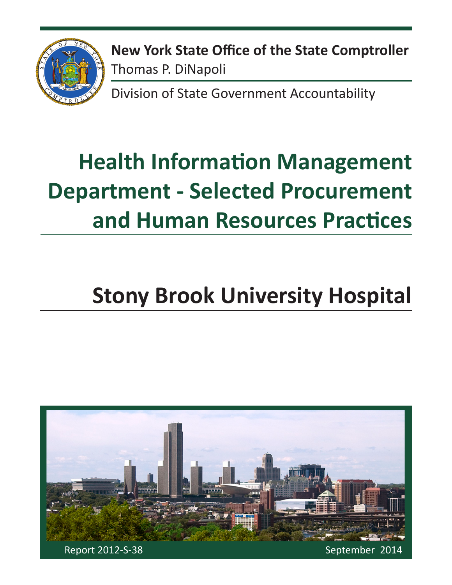

**New York State Office of the State Comptroller** Thomas P. DiNapoli

Division of State Government Accountability

# **Health Information Management Department - Selected Procurement and Human Resources Practices**

# **Stony Brook University Hospital**

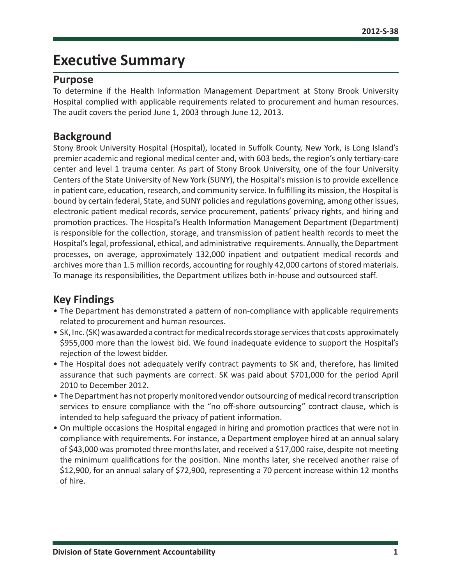### **Executive Summary**

#### **Purpose**

To determine if the Health Information Management Department at Stony Brook University Hospital complied with applicable requirements related to procurement and human resources. The audit covers the period June 1, 2003 through June 12, 2013.

#### **Background**

Stony Brook University Hospital (Hospital), located in Suffolk County, New York, is Long Island's premier academic and regional medical center and, with 603 beds, the region's only tertiary-care center and level 1 trauma center. As part of Stony Brook University, one of the four University Centers of the State University of New York (SUNY), the Hospital's mission is to provide excellence in patient care, education, research, and community service. In fulfilling its mission, the Hospital is bound by certain federal, State, and SUNY policies and regulations governing, among other issues, electronic patient medical records, service procurement, patients' privacy rights, and hiring and promotion practices. The Hospital's Health Information Management Department (Department) is responsible for the collection, storage, and transmission of patient health records to meet the Hospital's legal, professional, ethical, and administrative requirements. Annually, the Department processes, on average, approximately 132,000 inpatient and outpatient medical records and archives more than 1.5 million records, accounting for roughly 42,000 cartons of stored materials. To manage its responsibilities, the Department utilizes both in-house and outsourced staff.

### **Key Findings**

- The Department has demonstrated a pattern of non-compliance with applicable requirements related to procurement and human resources.
- SK, Inc. (SK) was awarded a contract for medical records storage services that costs approximately \$955,000 more than the lowest bid. We found inadequate evidence to support the Hospital's rejection of the lowest bidder.
- The Hospital does not adequately verify contract payments to SK and, therefore, has limited assurance that such payments are correct. SK was paid about \$701,000 for the period April 2010 to December 2012.
- The Department has not properly monitored vendor outsourcing of medical record transcription services to ensure compliance with the "no off-shore outsourcing" contract clause, which is intended to help safeguard the privacy of patient information.
- On multiple occasions the Hospital engaged in hiring and promotion practices that were not in compliance with requirements. For instance, a Department employee hired at an annual salary of \$43,000 was promoted three months later, and received a \$17,000 raise, despite not meeting the minimum qualifications for the position. Nine months later, she received another raise of \$12,900, for an annual salary of \$72,900, representing a 70 percent increase within 12 months of hire.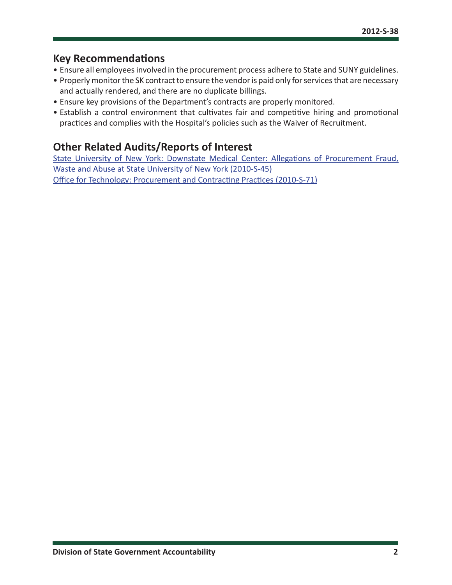#### **Key Recommendations**

- Ensure all employees involved in the procurement process adhere to State and SUNY guidelines.
- Properly monitor the SK contract to ensure the vendor is paid only for services that are necessary and actually rendered, and there are no duplicate billings.
- Ensure key provisions of the Department's contracts are properly monitored.
- Establish a control environment that cultivates fair and competitive hiring and promotional practices and complies with the Hospital's policies such as the Waiver of Recruitment.

### **Other Related Audits/Reports of Interest**

[State University of New York: Downstate Medical Center: Allegations of Procurement Fraud,](http://osc.state.ny.us/audits/allaudits/093012/10s45.pdf#search=2010-S-45)  [Waste and Abuse at State University of New York \(2010-S-45\)](http://osc.state.ny.us/audits/allaudits/093012/10s45.pdf#search=2010-S-45) [Office for Technology: Procurement and Contracting Practices \(2010-S-71\)](http://osc.state.ny.us/audits/allaudits/093012/10s71.pdf#search=2010-S-71)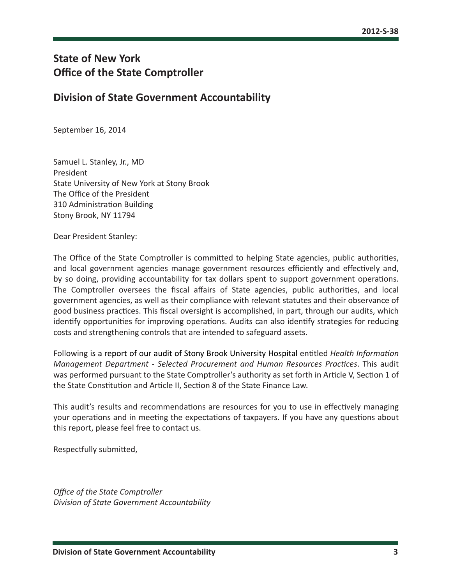### **State of New York Office of the State Comptroller**

#### **Division of State Government Accountability**

September 16, 2014

Samuel L. Stanley, Jr., MD President State University of New York at Stony Brook The Office of the President 310 Administration Building Stony Brook, NY 11794

Dear President Stanley:

The Office of the State Comptroller is committed to helping State agencies, public authorities, and local government agencies manage government resources efficiently and effectively and, by so doing, providing accountability for tax dollars spent to support government operations. The Comptroller oversees the fiscal affairs of State agencies, public authorities, and local government agencies, as well as their compliance with relevant statutes and their observance of good business practices. This fiscal oversight is accomplished, in part, through our audits, which identify opportunities for improving operations. Audits can also identify strategies for reducing costs and strengthening controls that are intended to safeguard assets.

Following is a report of our audit of Stony Brook University Hospital entitled *Health Information Management Department - Selected Procurement and Human Resources Practices*. This audit was performed pursuant to the State Comptroller's authority as set forth in Article V, Section 1 of the State Constitution and Article II, Section 8 of the State Finance Law.

This audit's results and recommendations are resources for you to use in effectively managing your operations and in meeting the expectations of taxpayers. If you have any questions about this report, please feel free to contact us.

Respectfully submitted,

*Office of the State Comptroller Division of State Government Accountability*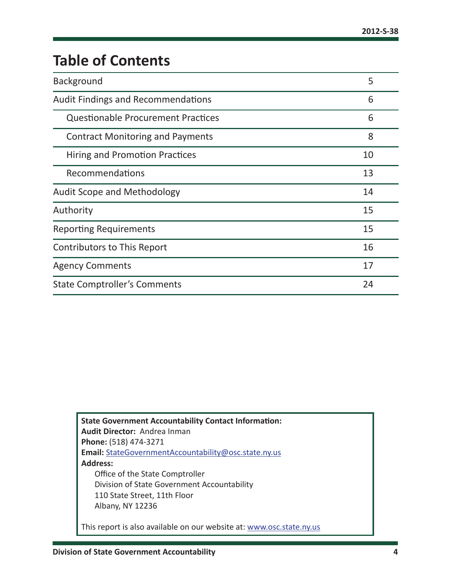# **Table of Contents**

| <b>Background</b>                         | 5  |
|-------------------------------------------|----|
| <b>Audit Findings and Recommendations</b> | 6  |
| <b>Questionable Procurement Practices</b> | 6  |
| <b>Contract Monitoring and Payments</b>   | 8  |
| Hiring and Promotion Practices            | 10 |
| Recommendations                           | 13 |
| <b>Audit Scope and Methodology</b>        | 14 |
| Authority                                 | 15 |
| <b>Reporting Requirements</b>             | 15 |
| <b>Contributors to This Report</b>        | 16 |
| <b>Agency Comments</b>                    | 17 |
| <b>State Comptroller's Comments</b>       |    |

**State Government Accountability Contact Information: Audit Director:** Andrea Inman **Phone:** (518) 474-3271 **Email:** [StateGovernmentAccountability@osc.state.ny.us](mailto:StateGovernmentAccountability%40osc.state.ny.us?subject=) **Address:** Office of the State Comptroller Division of State Government Accountability 110 State Street, 11th Floor Albany, NY 12236

This report is also available on our website at: [www.osc.state.ny.us](http://www.osc.state.ny.us)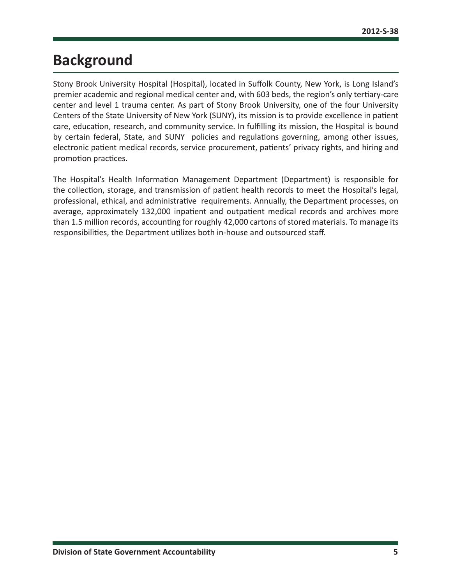# <span id="page-5-0"></span>**Background**

Stony Brook University Hospital (Hospital), located in Suffolk County, New York, is Long Island's premier academic and regional medical center and, with 603 beds, the region's only tertiary-care center and level 1 trauma center. As part of Stony Brook University, one of the four University Centers of the State University of New York (SUNY), its mission is to provide excellence in patient care, education, research, and community service. In fulfilling its mission, the Hospital is bound by certain federal, State, and SUNY policies and regulations governing, among other issues, electronic patient medical records, service procurement, patients' privacy rights, and hiring and promotion practices.

The Hospital's Health Information Management Department (Department) is responsible for the collection, storage, and transmission of patient health records to meet the Hospital's legal, professional, ethical, and administrative requirements. Annually, the Department processes, on average, approximately 132,000 inpatient and outpatient medical records and archives more than 1.5 million records, accounting for roughly 42,000 cartons of stored materials. To manage its responsibilities, the Department utilizes both in-house and outsourced staff.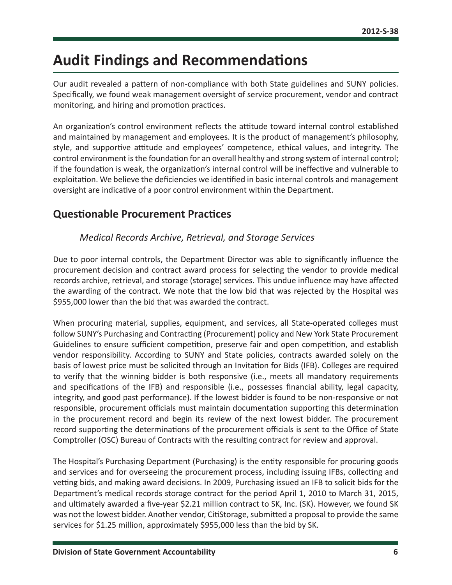# <span id="page-6-0"></span>**Audit Findings and Recommendations**

Our audit revealed a pattern of non-compliance with both State guidelines and SUNY policies. Specifically, we found weak management oversight of service procurement, vendor and contract monitoring, and hiring and promotion practices.

An organization's control environment reflects the attitude toward internal control established and maintained by management and employees. It is the product of management's philosophy, style, and supportive attitude and employees' competence, ethical values, and integrity. The control environment is the foundation for an overall healthy and strong system of internal control; if the foundation is weak, the organization's internal control will be ineffective and vulnerable to exploitation. We believe the deficiencies we identified in basic internal controls and management oversight are indicative of a poor control environment within the Department.

### **Questionable Procurement Practices**

#### *Medical Records Archive, Retrieval, and Storage Services*

Due to poor internal controls, the Department Director was able to significantly influence the procurement decision and contract award process for selecting the vendor to provide medical records archive, retrieval, and storage (storage) services. This undue influence may have affected the awarding of the contract. We note that the low bid that was rejected by the Hospital was \$955,000 lower than the bid that was awarded the contract.

When procuring material, supplies, equipment, and services, all State-operated colleges must follow SUNY's Purchasing and Contracting (Procurement) policy and New York State Procurement Guidelines to ensure sufficient competition, preserve fair and open competition, and establish vendor responsibility. According to SUNY and State policies, contracts awarded solely on the basis of lowest price must be solicited through an Invitation for Bids (IFB). Colleges are required to verify that the winning bidder is both responsive (i.e., meets all mandatory requirements and specifications of the IFB) and responsible (i.e., possesses financial ability, legal capacity, integrity, and good past performance). If the lowest bidder is found to be non-responsive or not responsible, procurement officials must maintain documentation supporting this determination in the procurement record and begin its review of the next lowest bidder. The procurement record supporting the determinations of the procurement officials is sent to the Office of State Comptroller (OSC) Bureau of Contracts with the resulting contract for review and approval.

The Hospital's Purchasing Department (Purchasing) is the entity responsible for procuring goods and services and for overseeing the procurement process, including issuing IFBs, collecting and vetting bids, and making award decisions. In 2009, Purchasing issued an IFB to solicit bids for the Department's medical records storage contract for the period April 1, 2010 to March 31, 2015, and ultimately awarded a five-year \$2.21 million contract to SK, Inc. (SK). However, we found SK was not the lowest bidder. Another vendor, CitiStorage, submitted a proposal to provide the same services for \$1.25 million, approximately \$955,000 less than the bid by SK.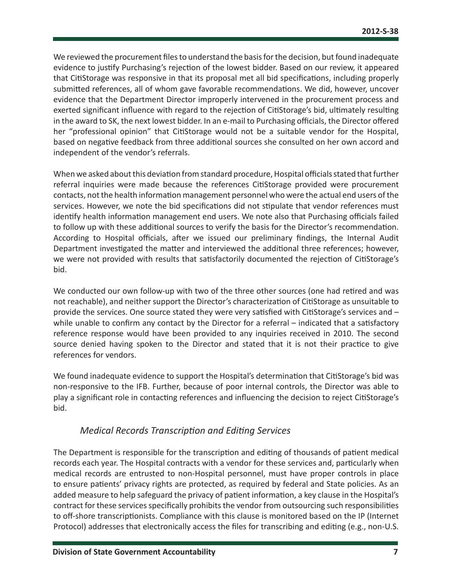We reviewed the procurement files to understand the basis for the decision, but found inadequate evidence to justify Purchasing's rejection of the lowest bidder. Based on our review, it appeared that CitiStorage was responsive in that its proposal met all bid specifications, including properly submitted references, all of whom gave favorable recommendations. We did, however, uncover evidence that the Department Director improperly intervened in the procurement process and exerted significant influence with regard to the rejection of CitiStorage's bid, ultimately resulting in the award to SK, the next lowest bidder. In an e-mail to Purchasing officials, the Director offered her "professional opinion" that CitiStorage would not be a suitable vendor for the Hospital, based on negative feedback from three additional sources she consulted on her own accord and independent of the vendor's referrals.

When we asked about this deviation from standard procedure, Hospital officials stated that further referral inquiries were made because the references CitiStorage provided were procurement contacts, not the health information management personnel who were the actual end users of the services. However, we note the bid specifications did not stipulate that vendor references must identify health information management end users. We note also that Purchasing officials failed to follow up with these additional sources to verify the basis for the Director's recommendation. According to Hospital officials, after we issued our preliminary findings, the Internal Audit Department investigated the matter and interviewed the additional three references; however, we were not provided with results that satisfactorily documented the rejection of CitiStorage's bid.

We conducted our own follow-up with two of the three other sources (one had retired and was not reachable), and neither support the Director's characterization of CitiStorage as unsuitable to provide the services. One source stated they were very satisfied with CitiStorage's services and – while unable to confirm any contact by the Director for a referral – indicated that a satisfactory reference response would have been provided to any inquiries received in 2010. The second source denied having spoken to the Director and stated that it is not their practice to give references for vendors.

We found inadequate evidence to support the Hospital's determination that CitiStorage's bid was non-responsive to the IFB. Further, because of poor internal controls, the Director was able to play a significant role in contacting references and influencing the decision to reject CitiStorage's bid.

#### *Medical Records Transcription and Editing Services*

The Department is responsible for the transcription and editing of thousands of patient medical records each year. The Hospital contracts with a vendor for these services and, particularly when medical records are entrusted to non-Hospital personnel, must have proper controls in place to ensure patients' privacy rights are protected, as required by federal and State policies. As an added measure to help safeguard the privacy of patient information, a key clause in the Hospital's contract for these services specifically prohibits the vendor from outsourcing such responsibilities to off-shore transcriptionists. Compliance with this clause is monitored based on the IP (Internet Protocol) addresses that electronically access the files for transcribing and editing (e.g., non-U.S.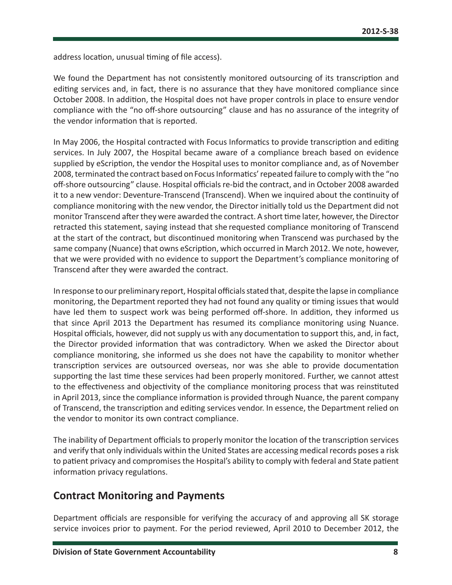<span id="page-8-0"></span>address location, unusual timing of file access).

We found the Department has not consistently monitored outsourcing of its transcription and editing services and, in fact, there is no assurance that they have monitored compliance since October 2008. In addition, the Hospital does not have proper controls in place to ensure vendor compliance with the "no off-shore outsourcing" clause and has no assurance of the integrity of the vendor information that is reported.

In May 2006, the Hospital contracted with Focus Informatics to provide transcription and editing services. In July 2007, the Hospital became aware of a compliance breach based on evidence supplied by eScription, the vendor the Hospital uses to monitor compliance and, as of November 2008, terminated the contract based on Focus Informatics' repeated failure to comply with the "no off-shore outsourcing" clause. Hospital officials re-bid the contract, and in October 2008 awarded it to a new vendor: Deventure-Transcend (Transcend). When we inquired about the continuity of compliance monitoring with the new vendor, the Director initially told us the Department did not monitor Transcend after they were awarded the contract. A short time later, however, the Director retracted this statement, saying instead that she requested compliance monitoring of Transcend at the start of the contract, but discontinued monitoring when Transcend was purchased by the same company (Nuance) that owns eScription, which occurred in March 2012. We note, however, that we were provided with no evidence to support the Department's compliance monitoring of Transcend after they were awarded the contract.

In response to our preliminary report, Hospital officials stated that, despite the lapse in compliance monitoring, the Department reported they had not found any quality or timing issues that would have led them to suspect work was being performed off-shore. In addition, they informed us that since April 2013 the Department has resumed its compliance monitoring using Nuance. Hospital officials, however, did not supply us with any documentation to support this, and, in fact, the Director provided information that was contradictory. When we asked the Director about compliance monitoring, she informed us she does not have the capability to monitor whether transcription services are outsourced overseas, nor was she able to provide documentation supporting the last time these services had been properly monitored. Further, we cannot attest to the effectiveness and objectivity of the compliance monitoring process that was reinstituted in April 2013, since the compliance information is provided through Nuance, the parent company of Transcend, the transcription and editing services vendor. In essence, the Department relied on the vendor to monitor its own contract compliance.

The inability of Department officials to properly monitor the location of the transcription services and verify that only individuals within the United States are accessing medical records poses a risk to patient privacy and compromises the Hospital's ability to comply with federal and State patient information privacy regulations.

#### **Contract Monitoring and Payments**

Department officials are responsible for verifying the accuracy of and approving all SK storage service invoices prior to payment. For the period reviewed, April 2010 to December 2012, the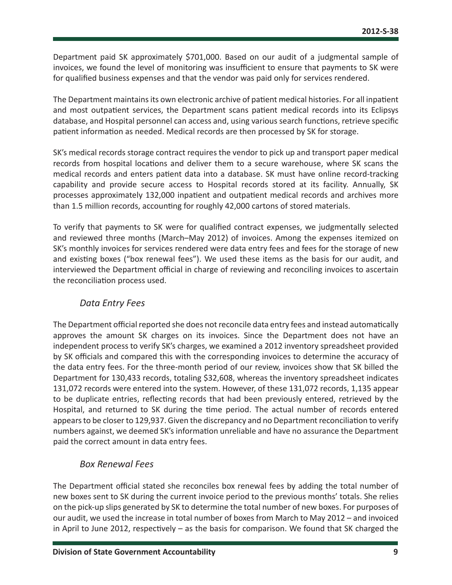Department paid SK approximately \$701,000. Based on our audit of a judgmental sample of invoices, we found the level of monitoring was insufficient to ensure that payments to SK were for qualified business expenses and that the vendor was paid only for services rendered.

The Department maintains its own electronic archive of patient medical histories. For all inpatient and most outpatient services, the Department scans patient medical records into its Eclipsys database, and Hospital personnel can access and, using various search functions, retrieve specific patient information as needed. Medical records are then processed by SK for storage.

SK's medical records storage contract requires the vendor to pick up and transport paper medical records from hospital locations and deliver them to a secure warehouse, where SK scans the medical records and enters patient data into a database. SK must have online record-tracking capability and provide secure access to Hospital records stored at its facility. Annually, SK processes approximately 132,000 inpatient and outpatient medical records and archives more than 1.5 million records, accounting for roughly 42,000 cartons of stored materials.

To verify that payments to SK were for qualified contract expenses, we judgmentally selected and reviewed three months (March–May 2012) of invoices. Among the expenses itemized on SK's monthly invoices for services rendered were data entry fees and fees for the storage of new and existing boxes ("box renewal fees"). We used these items as the basis for our audit, and interviewed the Department official in charge of reviewing and reconciling invoices to ascertain the reconciliation process used.

#### *Data Entry Fees*

The Department official reported she does not reconcile data entry fees and instead automatically approves the amount SK charges on its invoices. Since the Department does not have an independent process to verify SK's charges, we examined a 2012 inventory spreadsheet provided by SK officials and compared this with the corresponding invoices to determine the accuracy of the data entry fees. For the three-month period of our review, invoices show that SK billed the Department for 130,433 records, totaling \$32,608, whereas the inventory spreadsheet indicates 131,072 records were entered into the system. However, of these 131,072 records, 1,135 appear to be duplicate entries, reflecting records that had been previously entered, retrieved by the Hospital, and returned to SK during the time period. The actual number of records entered appears to be closer to 129,937. Given the discrepancy and no Department reconciliation to verify numbers against, we deemed SK's information unreliable and have no assurance the Department paid the correct amount in data entry fees.

#### *Box Renewal Fees*

The Department official stated she reconciles box renewal fees by adding the total number of new boxes sent to SK during the current invoice period to the previous months' totals. She relies on the pick-up slips generated by SK to determine the total number of new boxes. For purposes of our audit, we used the increase in total number of boxes from March to May 2012 – and invoiced in April to June 2012, respectively – as the basis for comparison. We found that SK charged the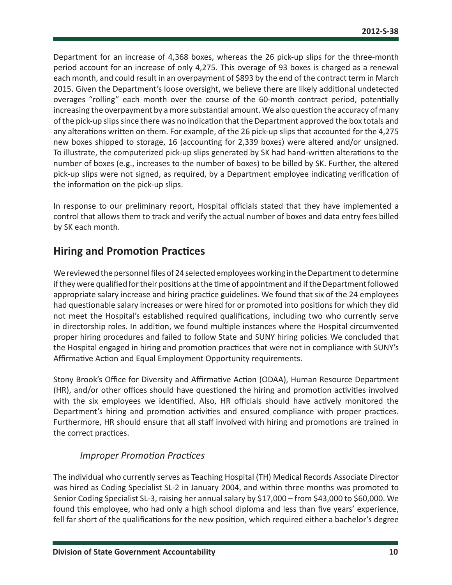<span id="page-10-0"></span>Department for an increase of 4,368 boxes, whereas the 26 pick-up slips for the three-month period account for an increase of only 4,275. This overage of 93 boxes is charged as a renewal each month, and could result in an overpayment of \$893 by the end of the contract term in March 2015. Given the Department's loose oversight, we believe there are likely additional undetected overages "rolling" each month over the course of the 60-month contract period, potentially increasing the overpayment by a more substantial amount. We also question the accuracy of many of the pick-up slips since there was no indication that the Department approved the box totals and any alterations written on them. For example, of the 26 pick-up slips that accounted for the 4,275 new boxes shipped to storage, 16 (accounting for 2,339 boxes) were altered and/or unsigned. To illustrate, the computerized pick-up slips generated by SK had hand-written alterations to the number of boxes (e.g., increases to the number of boxes) to be billed by SK. Further, the altered pick-up slips were not signed, as required, by a Department employee indicating verification of the information on the pick-up slips.

In response to our preliminary report, Hospital officials stated that they have implemented a control that allows them to track and verify the actual number of boxes and data entry fees billed by SK each month.

### **Hiring and Promotion Practices**

We reviewed the personnel files of 24 selected employees working in the Department to determine if they were qualified for their positions at the time of appointment and if the Department followed appropriate salary increase and hiring practice guidelines. We found that six of the 24 employees had questionable salary increases or were hired for or promoted into positions for which they did not meet the Hospital's established required qualifications, including two who currently serve in directorship roles. In addition, we found multiple instances where the Hospital circumvented proper hiring procedures and failed to follow State and SUNY hiring policies. We concluded that the Hospital engaged in hiring and promotion practices that were not in compliance with SUNY's Affirmative Action and Equal Employment Opportunity requirements.

Stony Brook's Office for Diversity and Affirmative Action (ODAA), Human Resource Department (HR), and/or other offices should have questioned the hiring and promotion activities involved with the six employees we identified. Also, HR officials should have actively monitored the Department's hiring and promotion activities and ensured compliance with proper practices. Furthermore, HR should ensure that all staff involved with hiring and promotions are trained in the correct practices.

#### *Improper Promotion Practices*

The individual who currently serves as Teaching Hospital (TH) Medical Records Associate Director was hired as Coding Specialist SL-2 in January 2004, and within three months was promoted to Senior Coding Specialist SL-3, raising her annual salary by \$17,000 – from \$43,000 to \$60,000. We found this employee, who had only a high school diploma and less than five years' experience, fell far short of the qualifications for the new position, which required either a bachelor's degree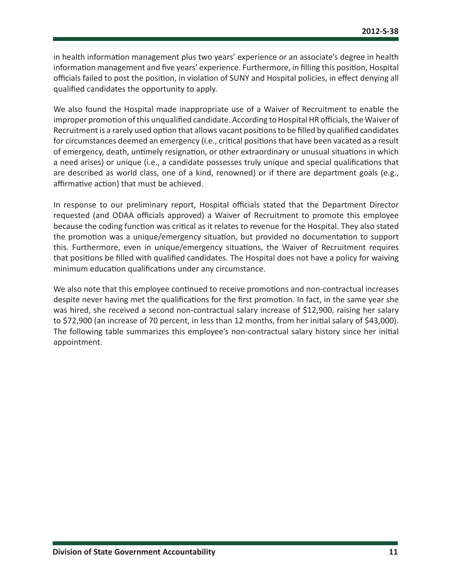in health information management plus two years' experience or an associate's degree in health information management and five years' experience. Furthermore, in filling this position, Hospital officials failed to post the position, in violation of SUNY and Hospital policies, in effect denying all qualified candidates the opportunity to apply.

We also found the Hospital made inappropriate use of a Waiver of Recruitment to enable the improper promotion of this unqualified candidate. According to Hospital HR officials, the Waiver of Recruitment is a rarely used option that allows vacant positions to be filled by qualified candidates for circumstances deemed an emergency (i.e., critical positions that have been vacated as a result of emergency, death, untimely resignation, or other extraordinary or unusual situations in which a need arises) or unique (i.e., a candidate possesses truly unique and special qualifications that are described as world class, one of a kind, renowned) or if there are department goals (e.g., affirmative action) that must be achieved.

In response to our preliminary report, Hospital officials stated that the Department Director requested (and ODAA officials approved) a Waiver of Recruitment to promote this employee because the coding function was critical as it relates to revenue for the Hospital. They also stated the promotion was a unique/emergency situation, but provided no documentation to support this. Furthermore, even in unique/emergency situations, the Waiver of Recruitment requires that positions be filled with qualified candidates. The Hospital does not have a policy for waiving minimum education qualifications under any circumstance.

We also note that this employee continued to receive promotions and non-contractual increases despite never having met the qualifications for the first promotion. In fact, in the same year she was hired, she received a second non-contractual salary increase of \$12,900, raising her salary to \$72,900 (an increase of 70 percent, in less than 12 months, from her initial salary of \$43,000). The following table summarizes this employee's non-contractual salary history since her initial appointment.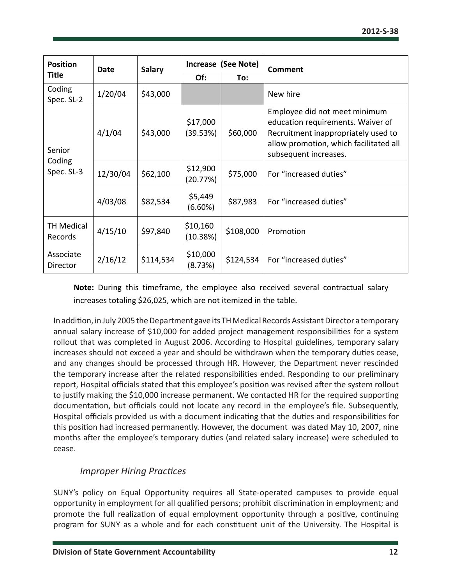| <b>Position</b>                                       | Date     | <b>Salary</b>          | Increase (See Note)  |           | <b>Comment</b>                                                                                                                                                               |  |
|-------------------------------------------------------|----------|------------------------|----------------------|-----------|------------------------------------------------------------------------------------------------------------------------------------------------------------------------------|--|
| <b>Title</b>                                          |          |                        | Of:                  | To:       |                                                                                                                                                                              |  |
| Coding<br>Spec. SL-2                                  | 1/20/04  | \$43,000               |                      |           | New hire                                                                                                                                                                     |  |
| Senior                                                | 4/1/04   | \$43,000               | \$17,000<br>(39.53%) | \$60,000  | Employee did not meet minimum<br>education requirements. Waiver of<br>Recruitment inappropriately used to<br>allow promotion, which facilitated all<br>subsequent increases. |  |
| Coding<br>Spec. SL-3                                  | 12/30/04 | \$62,100               | \$12,900<br>(20.77%) | \$75,000  | For "increased duties"                                                                                                                                                       |  |
| \$5,449<br>4/03/08<br>\$87,983<br>\$82,534<br>(6.60%) |          | For "increased duties" |                      |           |                                                                                                                                                                              |  |
| <b>TH Medical</b><br>Records                          | 4/15/10  | \$97,840               | \$10,160<br>(10.38%) | \$108,000 | Promotion                                                                                                                                                                    |  |
| Associate<br>Director                                 | 2/16/12  | \$114,534              | \$10,000<br>(8.73%)  | \$124,534 | For "increased duties"                                                                                                                                                       |  |

**Note:** During this timeframe, the employee also received several contractual salary increases totaling \$26,025, which are not itemized in the table.

In addition, in July 2005 the Department gave its TH Medical Records Assistant Director a temporary annual salary increase of \$10,000 for added project management responsibilities for a system rollout that was completed in August 2006. According to Hospital guidelines, temporary salary increases should not exceed a year and should be withdrawn when the temporary duties cease, and any changes should be processed through HR. However, the Department never rescinded the temporary increase after the related responsibilities ended. Responding to our preliminary report, Hospital officials stated that this employee's position was revised after the system rollout to justify making the \$10,000 increase permanent. We contacted HR for the required supporting documentation, but officials could not locate any record in the employee's file. Subsequently, Hospital officials provided us with a document indicating that the duties and responsibilities for this position had increased permanently. However, the document was dated May 10, 2007, nine months after the employee's temporary duties (and related salary increase) were scheduled to cease.

#### *Improper Hiring Practices*

SUNY's policy on Equal Opportunity requires all State-operated campuses to provide equal opportunity in employment for all qualified persons; prohibit discrimination in employment; and promote the full realization of equal employment opportunity through a positive, continuing program for SUNY as a whole and for each constituent unit of the University. The Hospital is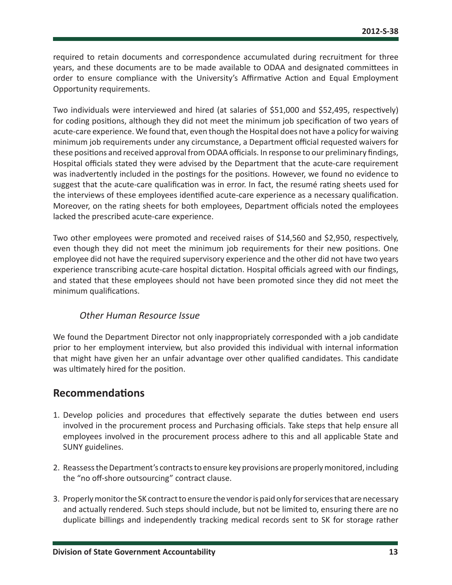<span id="page-13-0"></span>required to retain documents and correspondence accumulated during recruitment for three years, and these documents are to be made available to ODAA and designated committees in order to ensure compliance with the University's Affirmative Action and Equal Employment Opportunity requirements.

Two individuals were interviewed and hired (at salaries of \$51,000 and \$52,495, respectively) for coding positions, although they did not meet the minimum job specification of two years of acute-care experience. We found that, even though the Hospital does not have a policy for waiving minimum job requirements under any circumstance, a Department official requested waivers for these positions and received approval from ODAA officials. In response to our preliminary findings, Hospital officials stated they were advised by the Department that the acute-care requirement was inadvertently included in the postings for the positions. However, we found no evidence to suggest that the acute-care qualification was in error. In fact, the resumé rating sheets used for the interviews of these employees identified acute-care experience as a necessary qualification. Moreover, on the rating sheets for both employees, Department officials noted the employees lacked the prescribed acute-care experience.

Two other employees were promoted and received raises of \$14,560 and \$2,950, respectively, even though they did not meet the minimum job requirements for their new positions. One employee did not have the required supervisory experience and the other did not have two years experience transcribing acute-care hospital dictation. Hospital officials agreed with our findings, and stated that these employees should not have been promoted since they did not meet the minimum qualifications.

#### *Other Human Resource Issue*

We found the Department Director not only inappropriately corresponded with a job candidate prior to her employment interview, but also provided this individual with internal information that might have given her an unfair advantage over other qualified candidates. This candidate was ultimately hired for the position.

#### **Recommendations**

- 1. Develop policies and procedures that effectively separate the duties between end users involved in the procurement process and Purchasing officials. Take steps that help ensure all employees involved in the procurement process adhere to this and all applicable State and SUNY guidelines.
- 2. Reassess the Department's contracts to ensure key provisions are properly monitored, including the "no off-shore outsourcing" contract clause.
- 3. Properly monitor the SK contract to ensure the vendor is paid only for services that are necessary and actually rendered. Such steps should include, but not be limited to, ensuring there are no duplicate billings and independently tracking medical records sent to SK for storage rather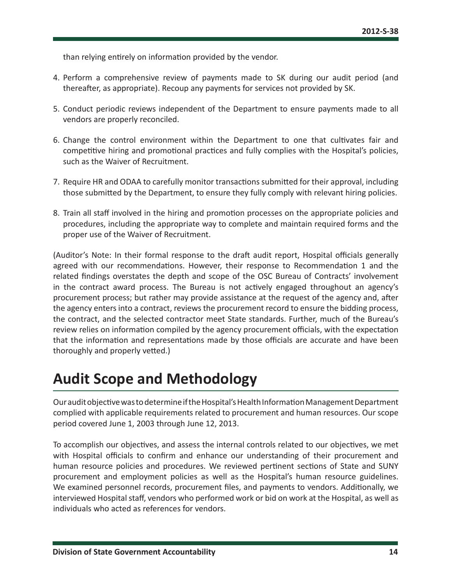<span id="page-14-0"></span>than relying entirely on information provided by the vendor.

- 4. Perform a comprehensive review of payments made to SK during our audit period (and thereafter, as appropriate). Recoup any payments for services not provided by SK.
- 5. Conduct periodic reviews independent of the Department to ensure payments made to all vendors are properly reconciled.
- 6. Change the control environment within the Department to one that cultivates fair and competitive hiring and promotional practices and fully complies with the Hospital's policies, such as the Waiver of Recruitment.
- 7. Require HR and ODAA to carefully monitor transactions submitted for their approval, including those submitted by the Department, to ensure they fully comply with relevant hiring policies.
- 8. Train all staff involved in the hiring and promotion processes on the appropriate policies and procedures, including the appropriate way to complete and maintain required forms and the proper use of the Waiver of Recruitment.

(Auditor's Note: In their formal response to the draft audit report, Hospital officials generally agreed with our recommendations. However, their response to Recommendation 1 and the related findings overstates the depth and scope of the OSC Bureau of Contracts' involvement in the contract award process. The Bureau is not actively engaged throughout an agency's procurement process; but rather may provide assistance at the request of the agency and, after the agency enters into a contract, reviews the procurement record to ensure the bidding process, the contract, and the selected contractor meet State standards. Further, much of the Bureau's review relies on information compiled by the agency procurement officials, with the expectation that the information and representations made by those officials are accurate and have been thoroughly and properly vetted.)

# **Audit Scope and Methodology**

Our audit objective was to determine if the Hospital's Health Information Management Department complied with applicable requirements related to procurement and human resources. Our scope period covered June 1, 2003 through June 12, 2013.

To accomplish our objectives, and assess the internal controls related to our objectives, we met with Hospital officials to confirm and enhance our understanding of their procurement and human resource policies and procedures. We reviewed pertinent sections of State and SUNY procurement and employment policies as well as the Hospital's human resource guidelines. We examined personnel records, procurement files, and payments to vendors. Additionally, we interviewed Hospital staff, vendors who performed work or bid on work at the Hospital, as well as individuals who acted as references for vendors.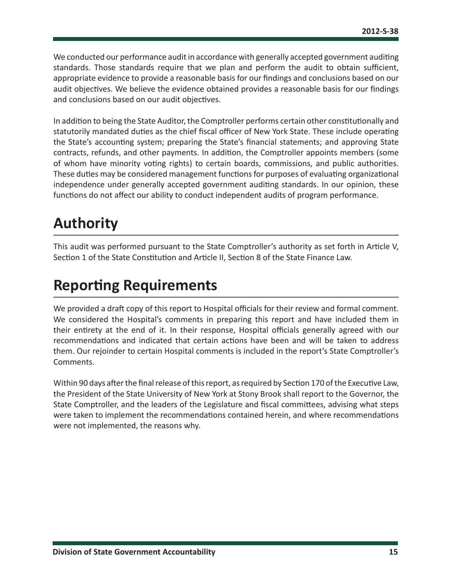<span id="page-15-0"></span>We conducted our performance audit in accordance with generally accepted government auditing standards. Those standards require that we plan and perform the audit to obtain sufficient, appropriate evidence to provide a reasonable basis for our findings and conclusions based on our audit objectives. We believe the evidence obtained provides a reasonable basis for our findings and conclusions based on our audit objectives.

In addition to being the State Auditor, the Comptroller performs certain other constitutionally and statutorily mandated duties as the chief fiscal officer of New York State. These include operating the State's accounting system; preparing the State's financial statements; and approving State contracts, refunds, and other payments. In addition, the Comptroller appoints members (some of whom have minority voting rights) to certain boards, commissions, and public authorities. These duties may be considered management functions for purposes of evaluating organizational independence under generally accepted government auditing standards. In our opinion, these functions do not affect our ability to conduct independent audits of program performance.

# **Authority**

This audit was performed pursuant to the State Comptroller's authority as set forth in Article V, Section 1 of the State Constitution and Article II, Section 8 of the State Finance Law.

# **Reporting Requirements**

We provided a draft copy of this report to Hospital officials for their review and formal comment. We considered the Hospital's comments in preparing this report and have included them in their entirety at the end of it. In their response, Hospital officials generally agreed with our recommendations and indicated that certain actions have been and will be taken to address them. Our rejoinder to certain Hospital comments is included in the report's State Comptroller's Comments.

Within 90 days after the final release of this report, as required by Section 170 of the Executive Law, the President of the State University of New York at Stony Brook shall report to the Governor, the State Comptroller, and the leaders of the Legislature and fiscal committees, advising what steps were taken to implement the recommendations contained herein, and where recommendations were not implemented, the reasons why.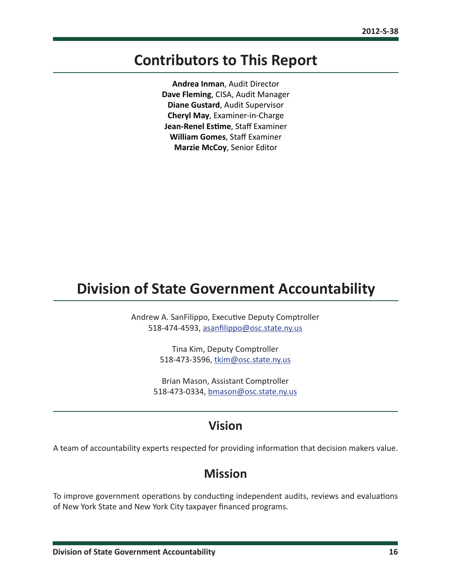### <span id="page-16-0"></span>**Contributors to This Report**

**Andrea Inman**, Audit Director **Dave Fleming**, CISA, Audit Manager **Diane Gustard**, Audit Supervisor **Cheryl May**, Examiner-in-Charge **Jean-Renel Estime**, Staff Examiner **William Gomes**, Staff Examiner **Marzie McCoy**, Senior Editor

### **Division of State Government Accountability**

Andrew A. SanFilippo, Executive Deputy Comptroller 518-474-4593, [asanfilippo@osc.state.ny.us](mailto:asanfilippo%40osc.state.ny.us%0D?subject=)

> Tina Kim, Deputy Comptroller 518-473-3596, [tkim@osc.state.ny.us](mailto:tkim%40osc.state.ny.us?subject=)

Brian Mason, Assistant Comptroller 518-473-0334, [bmason@osc.state.ny.us](mailto:bmason%40osc.state.ny.us?subject=)

### **Vision**

A team of accountability experts respected for providing information that decision makers value.

### **Mission**

To improve government operations by conducting independent audits, reviews and evaluations of New York State and New York City taxpayer financed programs.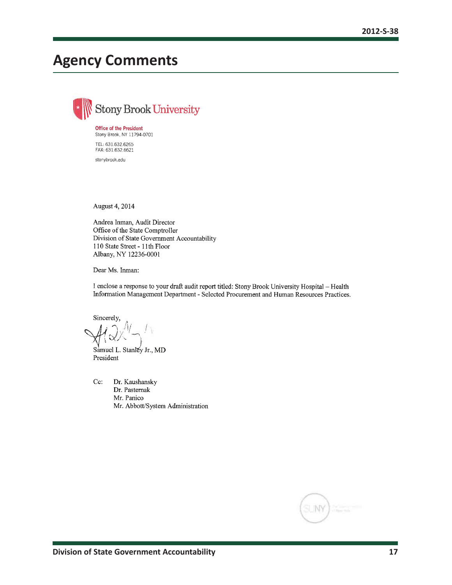# <span id="page-17-0"></span>**Agency Comments**

**Stony Brook University Office of the President** Stony Brook, NY 11794-0701 TEL: 631.632.6265 FAX: 631.632.6621 stonybrook.edu

August 4, 2014

Andrea Inman, Audit Director Office of the State Comptroller Division of State Government Accountability 110 State Street - 11th Floor Albany, NY 12236-0001

Dear Ms. Inman:

I enclose a response to your draft audit report titled: Stony Brook University Hospital - Health Information Management Department - Selected Procurement and Human Resources Practices.

Sincerely,

Samuel L. Stanley Jr., MD President

Cc: Dr. Kaushansky Dr. Pasternak Mr. Panico Mr. Abbott/System Administration

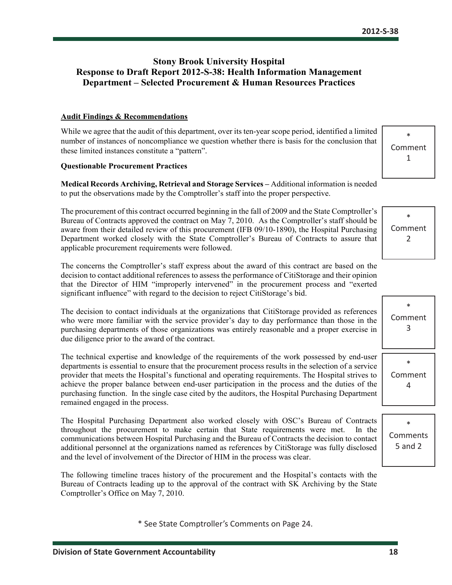#### **Stony Brook University Hospital Response to Draft Report 2012-S-38: Health Information Management Department – Selected Procurement & Human Resources Practices**

#### **Audit Findings & Recommendations**

While we agree that the audit of this department, over its ten-year scope period, identified a limited number of instances of noncompliance we question whether there is basis for the conclusion that these limited instances constitute a "pattern".

#### **Questionable Procurement Practices**

**Medical Records Archiving, Retrieval and Storage Services –** Additional information is needed to put the observations made by the Comptroller's staff into the proper perspective.

The procurement of this contract occurred beginning in the fall of 2009 and the State Comptroller's Bureau of Contracts approved the contract on May 7, 2010. As the Comptroller's staff should be aware from their detailed review of this procurement (IFB 09/10-1890), the Hospital Purchasing Department worked closely with the State Comptroller's Bureau of Contracts to assure that applicable procurement requirements were followed.

The concerns the Comptroller's staff express about the award of this contract are based on the decision to contact additional references to assess the performance of CitiStorage and their opinion that the Director of HIM "improperly intervened" in the procurement process and "exerted significant influence" with regard to the decision to reject CitiStorage's bid.

The decision to contact individuals at the organizations that CitiStorage provided as references who were more familiar with the service provider's day to day performance than those in the purchasing departments of those organizations was entirely reasonable and a proper exercise in due diligence prior to the award of the contract.

The technical expertise and knowledge of the requirements of the work possessed by end-user departments is essential to ensure that the procurement process results in the selection of a service provider that meets the Hospital's functional and operating requirements. The Hospital strives to achieve the proper balance between end-user participation in the process and the duties of the purchasing function. In the single case cited by the auditors, the Hospital Purchasing Department remained engaged in the process.

The Hospital Purchasing Department also worked closely with OSC's Bureau of Contracts throughout the procurement to make certain that State requirements were met. In the communications between Hospital Purchasing and the Bureau of Contracts the decision to contact additional personnel at the organizations named as references by CitiStorage was fully disclosed and the level of involvement of the Director of HIM in the process was clear.

The following timeline traces history of the procurement and the Hospital's contacts with the Bureau of Contracts leading up to the approval of the contract with SK Archiving by the State Comptroller's Office on May 7, 2010.

\* See State Comptroller's Comments on Page 24.

\* Comment 1

\* Comment 2

|                   | ж<br>Comment<br>3 |
|-------------------|-------------------|
| ∗<br>Comment<br>4 |                   |

\* Comments 5 and 2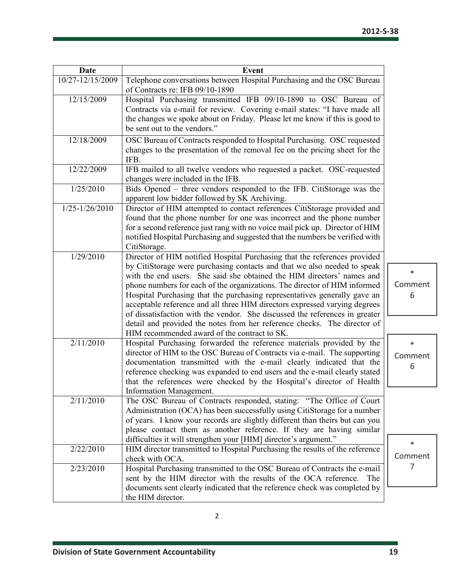| <b>Date</b>      | <b>Event</b>                                                                                                                                        |         |
|------------------|-----------------------------------------------------------------------------------------------------------------------------------------------------|---------|
| 10/27-12/15/2009 | Telephone conversations between Hospital Purchasing and the OSC Bureau                                                                              |         |
| 12/15/2009       | of Contracts re: IFB 09/10-1890<br>Hospital Purchasing transmitted IFB 09/10-1890 to OSC Bureau of                                                  |         |
|                  | Contracts via e-mail for review. Covering e-mail states: "I have made all                                                                           |         |
|                  | the changes we spoke about on Friday. Please let me know if this is good to                                                                         |         |
|                  | be sent out to the vendors."                                                                                                                        |         |
| 12/18/2009       | OSC Bureau of Contracts responded to Hospital Purchasing. OSC requested                                                                             |         |
|                  | changes to the presentation of the removal fee on the pricing sheet for the<br>IFB.                                                                 |         |
| 12/22/2009       | IFB mailed to all twelve vendors who requested a packet. OSC-requested                                                                              |         |
|                  | changes were included in the IFB.                                                                                                                   |         |
| 1/25/2010        | Bids Opened – three vendors responded to the IFB. CitiStorage was the                                                                               |         |
| 1/25-1/26/2010   | apparent low bidder followed by SK Archiving.<br>Director of HIM attempted to contact references CitiStorage provided and                           |         |
|                  | found that the phone number for one was incorrect and the phone number                                                                              |         |
|                  | for a second reference just rang with no voice mail pick up. Director of HIM                                                                        |         |
|                  | notified Hospital Purchasing and suggested that the numbers be verified with                                                                        |         |
|                  | CitiStorage.                                                                                                                                        |         |
| 1/29/2010        | Director of HIM notified Hospital Purchasing that the references provided                                                                           |         |
|                  | by CitiStorage were purchasing contacts and that we also needed to speak                                                                            | $\ast$  |
|                  | with the end users. She said she obtained the HIM directors' names and<br>phone numbers for each of the organizations. The director of HIM informed | Comment |
|                  | Hospital Purchasing that the purchasing representatives generally gave an                                                                           | 6       |
|                  | acceptable reference and all three HIM directors expressed varying degrees                                                                          |         |
|                  | of dissatisfaction with the vendor. She discussed the references in greater                                                                         |         |
|                  | detail and provided the notes from her reference checks. The director of                                                                            |         |
|                  | HIM recommended award of the contract to SK.                                                                                                        |         |
| 2/11/2010        | Hospital Purchasing forwarded the reference materials provided by the                                                                               | $\ast$  |
|                  | director of HIM to the OSC Bureau of Contracts via e-mail. The supporting                                                                           | Comment |
|                  | documentation transmitted with the e-mail clearly indicated that the<br>reference checking was expanded to end users and the e-mail clearly stated  | 6       |
|                  | that the references were checked by the Hospital's director of Health                                                                               |         |
|                  | Information Management.                                                                                                                             |         |
| 2/11/2010        | The OSC Bureau of Contracts responded, stating: "The Office of Court                                                                                |         |
|                  | Administration (OCA) has been successfully using CitiStorage for a number                                                                           |         |
|                  | of years. I know your records are slightly different than theirs but can you                                                                        |         |
|                  | please contact them as another reference. If they are having similar                                                                                |         |
| 2/22/2010        | difficulties it will strengthen your [HIM] director's argument."<br>HIM director transmitted to Hospital Purchasing the results of the reference    | *       |
|                  | check with OCA.                                                                                                                                     | Comment |
| 2/23/2010        | Hospital Purchasing transmitted to the OSC Bureau of Contracts the e-mail                                                                           | 7       |
|                  | sent by the HIM director with the results of the OCA reference. The                                                                                 |         |
|                  | documents sent clearly indicated that the reference check was completed by                                                                          |         |
|                  | the HIM director.                                                                                                                                   |         |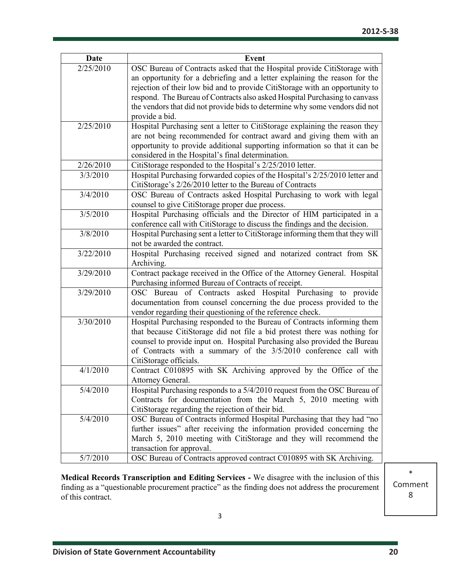| Date      | <b>Event</b>                                                                                                                                  |
|-----------|-----------------------------------------------------------------------------------------------------------------------------------------------|
| 2/25/2010 | OSC Bureau of Contracts asked that the Hospital provide CitiStorage with                                                                      |
|           | an opportunity for a debriefing and a letter explaining the reason for the                                                                    |
|           | rejection of their low bid and to provide CitiStorage with an opportunity to                                                                  |
|           | respond. The Bureau of Contracts also asked Hospital Purchasing to canvass                                                                    |
|           | the vendors that did not provide bids to determine why some vendors did not                                                                   |
|           | provide a bid.                                                                                                                                |
| 2/25/2010 | Hospital Purchasing sent a letter to CitiStorage explaining the reason they                                                                   |
|           | are not being recommended for contract award and giving them with an                                                                          |
|           | opportunity to provide additional supporting information so that it can be                                                                    |
|           | considered in the Hospital's final determination.                                                                                             |
| 2/26/2010 | CitiStorage responded to the Hospital's 2/25/2010 letter.                                                                                     |
| 3/3/2010  | Hospital Purchasing forwarded copies of the Hospital's 2/25/2010 letter and                                                                   |
|           | CitiStorage's 2/26/2010 letter to the Bureau of Contracts                                                                                     |
| 3/4/2010  | OSC Bureau of Contracts asked Hospital Purchasing to work with legal                                                                          |
|           | counsel to give CitiStorage proper due process.                                                                                               |
| 3/5/2010  | Hospital Purchasing officials and the Director of HIM participated in a                                                                       |
|           | conference call with CitiStorage to discuss the findings and the decision.                                                                    |
| 3/8/2010  | Hospital Purchasing sent a letter to CitiStorage informing them that they will                                                                |
|           | not be awarded the contract.                                                                                                                  |
| 3/22/2010 | Hospital Purchasing received signed and notarized contract from SK                                                                            |
|           | Archiving.                                                                                                                                    |
| 3/29/2010 | Contract package received in the Office of the Attorney General. Hospital                                                                     |
|           | Purchasing informed Bureau of Contracts of receipt.                                                                                           |
| 3/29/2010 | OSC Bureau of Contracts asked Hospital Purchasing to provide                                                                                  |
|           | documentation from counsel concerning the due process provided to the                                                                         |
|           | vendor regarding their questioning of the reference check.                                                                                    |
| 3/30/2010 | Hospital Purchasing responded to the Bureau of Contracts informing them                                                                       |
|           | that because CitiStorage did not file a bid protest there was nothing for                                                                     |
|           | counsel to provide input on. Hospital Purchasing also provided the Bureau                                                                     |
|           | of Contracts with a summary of the 3/5/2010 conference call with                                                                              |
|           | CitiStorage officials.                                                                                                                        |
| 4/1/2010  | Contract C010895 with SK Archiving approved by the Office of the                                                                              |
|           | Attorney General.                                                                                                                             |
| 5/4/2010  | Hospital Purchasing responds to a 5/4/2010 request from the OSC Bureau of                                                                     |
|           | Contracts for documentation from the March 5, 2010 meeting with                                                                               |
| 5/4/2010  | CitiStorage regarding the rejection of their bid.                                                                                             |
|           | OSC Bureau of Contracts informed Hospital Purchasing that they had "no                                                                        |
|           | further issues" after receiving the information provided concerning the<br>March 5, 2010 meeting with CitiStorage and they will recommend the |
|           | transaction for approval.                                                                                                                     |
| 5/7/2010  | OSC Bureau of Contracts approved contract C010895 with SK Archiving.                                                                          |
|           |                                                                                                                                               |

**Medical Records Transcription and Editing Services -** We disagree with the inclusion of this finding as a "questionable procurement practice" as the finding does not address the procurement of this contract.

\* Comment 8

3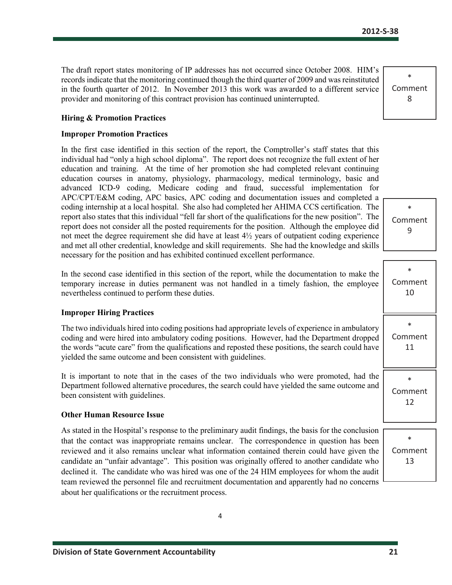The draft report states monitoring of IP addresses has not occurred since October 2008. HIM's records indicate that the monitoring continued though the third quarter of 2009 and was reinstituted in the fourth quarter of 2012. In November 2013 this work was awarded to a different service provider and monitoring of this contract provision has continued uninterrupted.

**Hiring & Promotion Practices**

#### **Improper Promotion Practices**

In the first case identified in this section of the report, the Comptroller's staff states that this individual had "only a high school diploma". The report does not recognize the full extent of her education and training. At the time of her promotion she had completed relevant continuing education courses in anatomy, physiology, pharmacology, medical terminology, basic and advanced ICD-9 coding, Medicare coding and fraud, successful implementation for APC/CPT/E&M coding, APC basics, APC coding and documentation issues and completed a coding internship at a local hospital. She also had completed her AHIMA CCS certification. The report also states that this individual "fell far short of the qualifications for the new position". The report does not consider all the posted requirements for the position. Although the employee did not meet the degree requirement she did have at least  $4\frac{1}{2}$  years of outpatient coding experience and met all other credential, knowledge and skill requirements. She had the knowledge and skills necessary for the position and has exhibited continued excellent performance.

In the second case identified in this section of the report, while the documentation to make the temporary increase in duties permanent was not handled in a timely fashion, the employee nevertheless continued to perform these duties.

#### **Improper Hiring Practices**

The two individuals hired into coding positions had appropriate levels of experience in ambulatory coding and were hired into ambulatory coding positions. However, had the Department dropped the words "acute care" from the qualifications and reposted these positions, the search could have yielded the same outcome and been consistent with guidelines.

It is important to note that in the cases of the two individuals who were promoted, had the Department followed alternative procedures, the search could have yielded the same outcome and been consistent with guidelines.

#### **Other Human Resource Issue**

As stated in the Hospital's response to the preliminary audit findings, the basis for the conclusion that the contact was inappropriate remains unclear. The correspondence in question has been reviewed and it also remains unclear what information contained therein could have given the candidate an "unfair advantage". This position was originally offered to another candidate who declined it. The candidate who was hired was one of the 24 HIM employees for whom the audit team reviewed the personnel file and recruitment documentation and apparently had no concerns about her qualifications or the recruitment process.

\* Comment 9

| ∗<br>Comment<br>10      |
|-------------------------|
| $\ast$<br>Comment<br>11 |
| $\ast$<br>Comment<br>12 |
| $\ast$                  |
| Comment                 |

13

\* Comment 8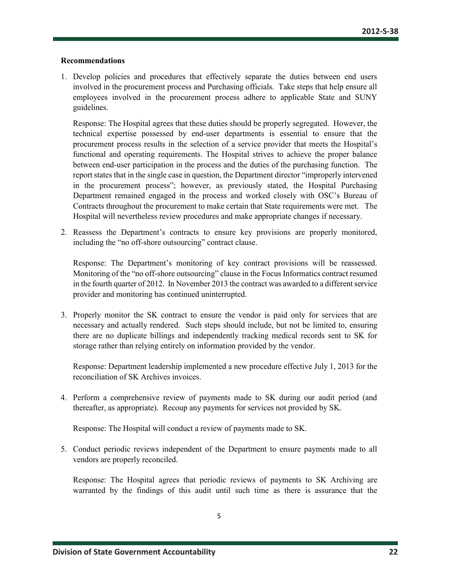#### **Recommendations**

1. Develop policies and procedures that effectively separate the duties between end users involved in the procurement process and Purchasing officials. Take steps that help ensure all employees involved in the procurement process adhere to applicable State and SUNY guidelines.

Response: The Hospital agrees that these duties should be properly segregated. However, the technical expertise possessed by end-user departments is essential to ensure that the procurement process results in the selection of a service provider that meets the Hospital's functional and operating requirements. The Hospital strives to achieve the proper balance between end-user participation in the process and the duties of the purchasing function. The report states that in the single case in question, the Department director "improperly intervened in the procurement process"; however, as previously stated, the Hospital Purchasing Department remained engaged in the process and worked closely with OSC's Bureau of Contracts throughout the procurement to make certain that State requirements were met. The Hospital will nevertheless review procedures and make appropriate changes if necessary.

2. Reassess the Department's contracts to ensure key provisions are properly monitored, including the "no off-shore outsourcing" contract clause.

Response: The Department's monitoring of key contract provisions will be reassessed. Monitoring of the "no off-shore outsourcing" clause in the Focus Informatics contract resumed in the fourth quarter of 2012. In November 2013 the contract was awarded to a different service provider and monitoring has continued uninterrupted.

3. Properly monitor the SK contract to ensure the vendor is paid only for services that are necessary and actually rendered. Such steps should include, but not be limited to, ensuring there are no duplicate billings and independently tracking medical records sent to SK for storage rather than relying entirely on information provided by the vendor.

Response: Department leadership implemented a new procedure effective July 1, 2013 for the reconciliation of SK Archives invoices.

4. Perform a comprehensive review of payments made to SK during our audit period (and thereafter, as appropriate). Recoup any payments for services not provided by SK.

Response: The Hospital will conduct a review of payments made to SK.

5. Conduct periodic reviews independent of the Department to ensure payments made to all vendors are properly reconciled.

Response: The Hospital agrees that periodic reviews of payments to SK Archiving are warranted by the findings of this audit until such time as there is assurance that the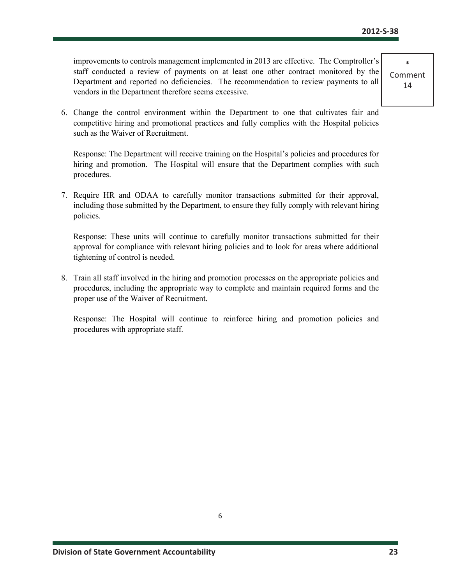improvements to controls management implemented in 2013 are effective. The Comptroller's staff conducted a review of payments on at least one other contract monitored by the Department and reported no deficiencies. The recommendation to review payments to all vendors in the Department therefore seems excessive.

6. Change the control environment within the Department to one that cultivates fair and competitive hiring and promotional practices and fully complies with the Hospital policies such as the Waiver of Recruitment.

Response: The Department will receive training on the Hospital's policies and procedures for hiring and promotion. The Hospital will ensure that the Department complies with such procedures.

7. Require HR and ODAA to carefully monitor transactions submitted for their approval, including those submitted by the Department, to ensure they fully comply with relevant hiring policies.

Response: These units will continue to carefully monitor transactions submitted for their approval for compliance with relevant hiring policies and to look for areas where additional tightening of control is needed.

8. Train all staff involved in the hiring and promotion processes on the appropriate policies and procedures, including the appropriate way to complete and maintain required forms and the proper use of the Waiver of Recruitment.

Response: The Hospital will continue to reinforce hiring and promotion policies and procedures with appropriate staff.

\* Comment 14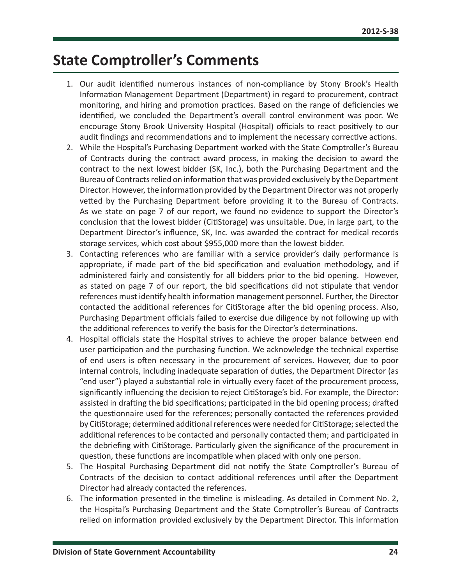### <span id="page-24-0"></span>**State Comptroller's Comments**

- 1. Our audit identified numerous instances of non-compliance by Stony Brook's Health Information Management Department (Department) in regard to procurement, contract monitoring, and hiring and promotion practices. Based on the range of deficiencies we identified, we concluded the Department's overall control environment was poor. We encourage Stony Brook University Hospital (Hospital) officials to react positively to our audit findings and recommendations and to implement the necessary corrective actions.
- 2. While the Hospital's Purchasing Department worked with the State Comptroller's Bureau of Contracts during the contract award process, in making the decision to award the contract to the next lowest bidder (SK, Inc.), both the Purchasing Department and the Bureau of Contracts relied on information that was provided exclusively by the Department Director. However, the information provided by the Department Director was not properly vetted by the Purchasing Department before providing it to the Bureau of Contracts. As we state on page 7 of our report, we found no evidence to support the Director's conclusion that the lowest bidder (CitiStorage) was unsuitable. Due, in large part, to the Department Director's influence, SK, Inc. was awarded the contract for medical records storage services, which cost about \$955,000 more than the lowest bidder.
- 3. Contacting references who are familiar with a service provider's daily performance is appropriate, if made part of the bid specification and evaluation methodology, and if administered fairly and consistently for all bidders prior to the bid opening. However, as stated on page 7 of our report, the bid specifications did not stipulate that vendor references must identify health information management personnel. Further, the Director contacted the additional references for CitiStorage after the bid opening process. Also, Purchasing Department officials failed to exercise due diligence by not following up with the additional references to verify the basis for the Director's determinations.
- 4. Hospital officials state the Hospital strives to achieve the proper balance between end user participation and the purchasing function. We acknowledge the technical expertise of end users is often necessary in the procurement of services. However, due to poor internal controls, including inadequate separation of duties, the Department Director (as "end user") played a substantial role in virtually every facet of the procurement process, significantly influencing the decision to reject CitiStorage's bid. For example, the Director: assisted in drafting the bid specifications; participated in the bid opening process; drafted the questionnaire used for the references; personally contacted the references provided by CitiStorage; determined additional references were needed for CitiStorage; selected the additional references to be contacted and personally contacted them; and participated in the debriefing with CitiStorage. Particularly given the significance of the procurement in question, these functions are incompatible when placed with only one person.
- 5. The Hospital Purchasing Department did not notify the State Comptroller's Bureau of Contracts of the decision to contact additional references until after the Department Director had already contacted the references.
- 6. The information presented in the timeline is misleading. As detailed in Comment No. 2, the Hospital's Purchasing Department and the State Comptroller's Bureau of Contracts relied on information provided exclusively by the Department Director. This information